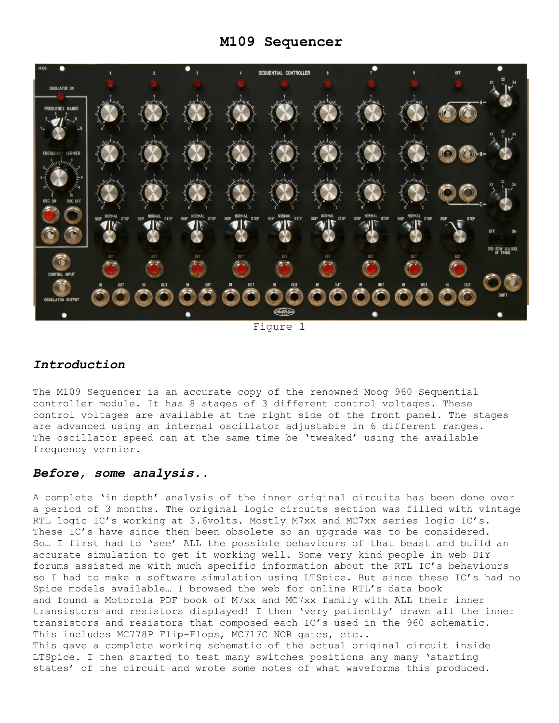# **M109 Sequencer**



Figure 1

## *Introduction*

The M109 Sequencer is an accurate copy of the renowned Moog 960 Sequential controller module. It has 8 stages of 3 different control voltages. These control voltages are available at the right side of the front panel. The stages are advanced using an internal oscillator adjustable in 6 different ranges. The oscillator speed can at the same time be 'tweaked' using the available frequency vernier.

### *Before, some analysis..*

A complete "in depth" analysis of the inner original circuits has been done over a period of 3 months. The original logic circuits section was filled with vintage RTL logic IC's working at 3.6volts. Mostly M7xx and MC7xx series logic IC's. These IC's have since then been obsolete so an upgrade was to be considered. So… I first had to "see" ALL the possible behaviours of that beast and build an accurate simulation to get it working well. Some very kind people in web DIY forums assisted me with much specific information about the RTL IC"s behaviours so I had to make a software simulation using LTSpice. But since these IC"s had no Spice models available… I browsed the web for online RTL"s data book and found a Motorola PDF book of M7xx and MC7xx family with ALL their inner transistors and resistors displayed! I then "very patiently" drawn all the inner transistors and resistors that composed each IC"s used in the 960 schematic. This includes MC778P Flip-Flops, MC717C NOR gates, etc.. This gave a complete working schematic of the actual original circuit inside LTSpice. I then started to test many switches positions any many "starting

states' of the circuit and wrote some notes of what waveforms this produced.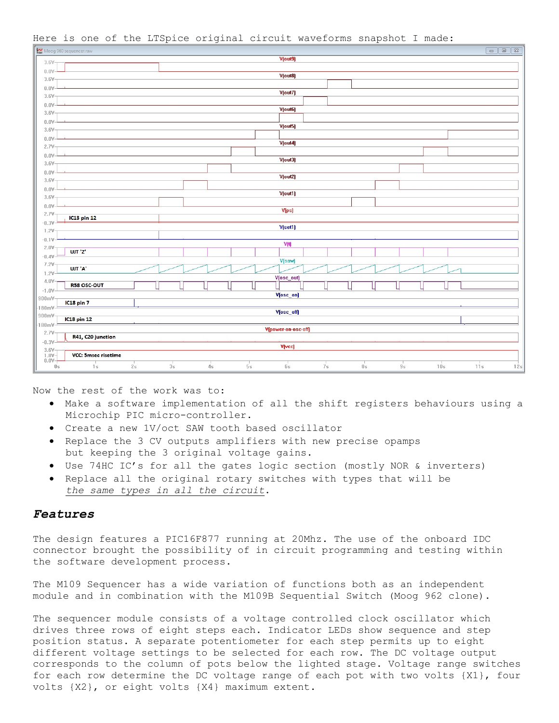

Here is one of the LTSpice original circuit waveforms snapshot I made:

Now the rest of the work was to:

- Make a software implementation of all the shift registers behaviours using a Microchip PIC micro-controller.
- Create a new 1V/oct SAW tooth based oscillator
- Replace the 3 CV outputs amplifiers with new precise opamps but keeping the 3 original voltage gains.
- Use 74HC IC"s for all the gates logic section (mostly NOR & inverters)
- Replace all the original rotary switches with types that will be *the same types in all the circuit*.

## *Features*

The design features a PIC16F877 running at 20Mhz. The use of the onboard IDC connector brought the possibility of in circuit programming and testing within the software development process.

The M109 Sequencer has a wide variation of functions both as an independent module and in combination with the M109B Sequential Switch (Moog 962 clone).

The sequencer module consists of a voltage controlled clock oscillator which drives three rows of eight steps each. Indicator LEDs show sequence and step position status. A separate potentiometer for each step permits up to eight different voltage settings to be selected for each row. The DC voltage output corresponds to the column of pots below the lighted stage. Voltage range switches for each row determine the DC voltage range of each pot with two volts {X1}, four volts {X2}, or eight volts {X4} maximum extent.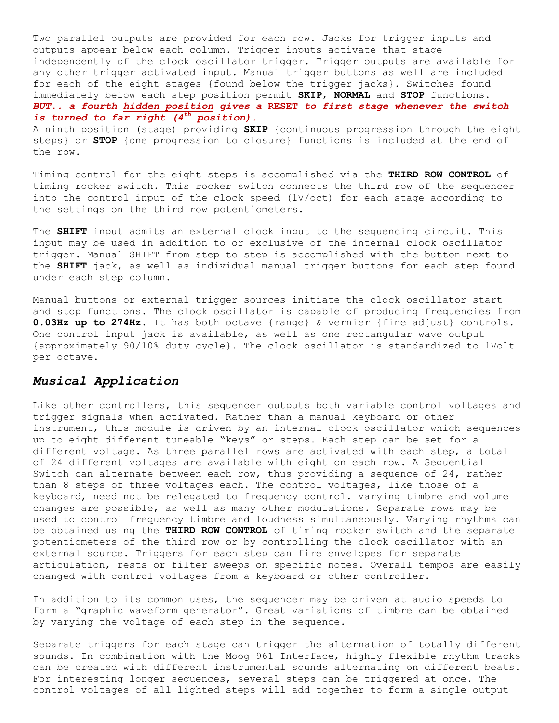Two parallel outputs are provided for each row. Jacks for trigger inputs and outputs appear below each column. Trigger inputs activate that stage independently of the clock oscillator trigger. Trigger outputs are available for any other trigger activated input. Manual trigger buttons as well are included for each of the eight stages {found below the trigger jacks}. Switches found immediately below each step position permit **SKIP**, **NORMAL** and **STOP** functions. *BUT.. a fourth hidden position gives a* **RESET** *to first stage whenever the switch is turned to far right (4th position).*

A ninth position (stage) providing **SKIP** {continuous progression through the eight steps} or **STOP** {one progression to closure} functions is included at the end of the row.

Timing control for the eight steps is accomplished via the **THIRD ROW CONTROL** of timing rocker switch. This rocker switch connects the third row of the sequencer into the control input of the clock speed (1V/oct) for each stage according to the settings on the third row potentiometers.

The **SHIFT** input admits an external clock input to the sequencing circuit. This input may be used in addition to or exclusive of the internal clock oscillator trigger. Manual SHIFT from step to step is accomplished with the button next to the **SHIFT** jack, as well as individual manual trigger buttons for each step found under each step column.

Manual buttons or external trigger sources initiate the clock oscillator start and stop functions. The clock oscillator is capable of producing frequencies from **0.03Hz up to 274Hz**. It has both octave {range} & vernier {fine adjust} controls. One control input jack is available, as well as one rectangular wave output {approximately 90/10% duty cycle}. The clock oscillator is standardized to 1Volt per octave.

### *Musical Application*

Like other controllers, this sequencer outputs both variable control voltages and trigger signals when activated. Rather than a manual keyboard or other instrument, this module is driven by an internal clock oscillator which sequences up to eight different tuneable "keys" or steps. Each step can be set for a different voltage. As three parallel rows are activated with each step, a total of 24 different voltages are available with eight on each row. A Sequential Switch can alternate between each row, thus providing a sequence of 24, rather than 8 steps of three voltages each. The control voltages, like those of a keyboard, need not be relegated to frequency control. Varying timbre and volume changes are possible, as well as many other modulations. Separate rows may be used to control frequency timbre and loudness simultaneously. Varying rhythms can be obtained using the **THIRD ROW CONTROL** of timing rocker switch and the separate potentiometers of the third row or by controlling the clock oscillator with an external source. Triggers for each step can fire envelopes for separate articulation, rests or filter sweeps on specific notes. Overall tempos are easily changed with control voltages from a keyboard or other controller.

In addition to its common uses, the sequencer may be driven at audio speeds to form a "graphic waveform generator". Great variations of timbre can be obtained by varying the voltage of each step in the sequence.

Separate triggers for each stage can trigger the alternation of totally different sounds. In combination with the Moog 961 Interface, highly flexible rhythm tracks can be created with different instrumental sounds alternating on different beats. For interesting longer sequences, several steps can be triggered at once. The control voltages of all lighted steps will add together to form a single output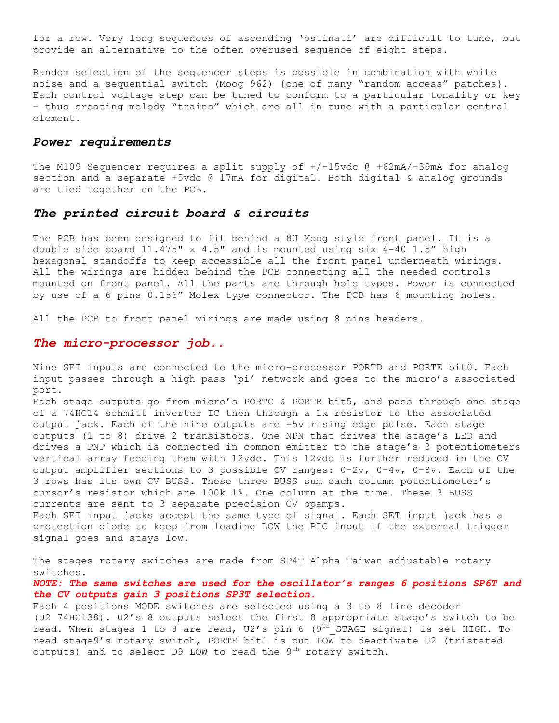for a row. Very long sequences of ascending 'ostinati' are difficult to tune, but provide an alternative to the often overused sequence of eight steps.

Random selection of the sequencer steps is possible in combination with white noise and a sequential switch (Moog 962) {one of many "random access" patches}. Each control voltage step can be tuned to conform to a particular tonality or key – thus creating melody "trains" which are all in tune with a particular central element.

## *Power requirements*

The M109 Sequencer requires a split supply of  $+/-15$ vdc @  $+62$ mA $/-39$ mA for analog section and a separate +5vdc @ 17mA for digital. Both digital & analog grounds are tied together on the PCB.

#### *The printed circuit board & circuits*

The PCB has been designed to fit behind a 8U Moog style front panel. It is a double side board 11.475" x 4.5" and is mounted using six 4-40 1.5" high hexagonal standoffs to keep accessible all the front panel underneath wirings. All the wirings are hidden behind the PCB connecting all the needed controls mounted on front panel. All the parts are through hole types. Power is connected by use of a 6 pins 0.156" Molex type connector. The PCB has 6 mounting holes.

All the PCB to front panel wirings are made using 8 pins headers.

#### *The micro-processor job..*

Nine SET inputs are connected to the micro-processor PORTD and PORTE bit0. Each input passes through a high pass 'pi' network and goes to the micro's associated port.

Each stage outputs go from micro's PORTC & PORTB bit5, and pass through one stage of a 74HC14 schmitt inverter IC then through a 1k resistor to the associated output jack. Each of the nine outputs are +5v rising edge pulse. Each stage outputs (1 to 8) drive 2 transistors. One NPN that drives the stage"s LED and drives a PNP which is connected in common emitter to the stage"s 3 potentiometers vertical array feeding them with 12vdc. This 12vdc is further reduced in the CV output amplifier sections to 3 possible CV ranges: 0-2v, 0-4v, 0-8v. Each of the 3 rows has its own CV BUSS. These three BUSS sum each column potentiometer"s cursor"s resistor which are 100k 1%. One column at the time. These 3 BUSS currents are sent to 3 separate precision CV opamps.

Each SET input jacks accept the same type of signal. Each SET input jack has a protection diode to keep from loading LOW the PIC input if the external trigger signal goes and stays low.

The stages rotary switches are made from SP4T Alpha Taiwan adjustable rotary switches.

### *NOTE: The same switches are used for the oscillator's ranges 6 positions SP6T and the CV outputs gain 3 positions SP3T selection.*

Each 4 positions MODE switches are selected using a 3 to 8 line decoder (U2 74HC138). U2"s 8 outputs select the first 8 appropriate stage"s switch to be read. When stages 1 to 8 are read,  $U2's$  pin 6 (9<sup>TH</sup>\_STAGE signal) is set HIGH. To read stage9's rotary switch, PORTE bit1 is put LOW to deactivate U2 (tristated outputs) and to select D9 LOW to read the  $9<sup>th</sup>$  rotary switch.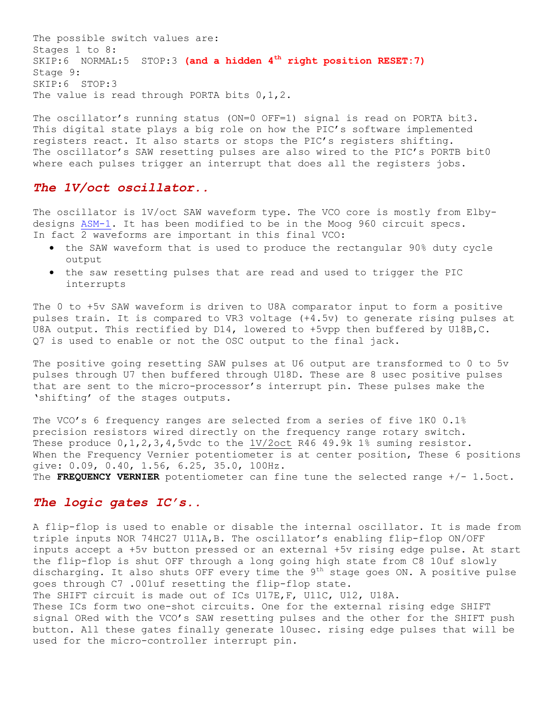The possible switch values are: Stages 1 to 8: SKIP:6 NORMAL:5 STOP:3 **(and a hidden 4th right position RESET:7)** Stage 9: SKIP:6 STOP:3 The value is read through PORTA bits  $0, 1, 2$ .

The oscillator's running status (ON=0 OFF=1) signal is read on PORTA bit3. This digital state plays a big role on how the PIC"s software implemented registers react. It also starts or stops the PIC"s registers shifting. The oscillator's SAW resetting pulses are also wired to the PIC's PORTB bit0 where each pulses trigger an interrupt that does all the registers jobs.

## *The 1V/oct oscillator..*

The oscillator is 1V/oct SAW waveform type. The VCO core is mostly from Elbydesigns [ASM-1.](https://www.elby-designs.com/webtek/asm-1/vco/vco-asm1-cct.pdf) It has been modified to be in the Moog 960 circuit specs. In fact 2 waveforms are important in this final VCO:

- the SAW waveform that is used to produce the rectangular 90% duty cycle output
- the saw resetting pulses that are read and used to trigger the PIC interrupts

The 0 to +5v SAW waveform is driven to U8A comparator input to form a positive pulses train. It is compared to VR3 voltage (+4.5v) to generate rising pulses at U8A output. This rectified by D14, lowered to +5vpp then buffered by U18B,C. Q7 is used to enable or not the OSC output to the final jack.

The positive going resetting SAW pulses at U6 output are transformed to 0 to 5v pulses through U7 then buffered through U18D. These are 8 usec positive pulses that are sent to the micro-processor"s interrupt pin. These pulses make the 'shifting' of the stages outputs.

The VCO's 6 frequency ranges are selected from a series of five 1K0 0.1% precision resistors wired directly on the frequency range rotary switch. These produce  $0, 1, 2, 3, 4, 5$ vdc to the  $1V/2$ oct R46 49.9k 1% suming resistor. When the Frequency Vernier potentiometer is at center position, These 6 positions give: 0.09, 0.40, 1.56, 6.25, 35.0, 100Hz. The **FREQUENCY VERNIER** potentiometer can fine tune the selected range +/- 1.5oct.

## *The logic gates IC's..*

A flip-flop is used to enable or disable the internal oscillator. It is made from triple inputs NOR 74HC27 U11A,B. The oscillator"s enabling flip-flop ON/OFF inputs accept a +5v button pressed or an external +5v rising edge pulse. At start the flip-flop is shut OFF through a long going high state from C8 10uf slowly discharging. It also shuts OFF every time the  $9^{th}$  stage goes ON. A positive pulse goes through C7 .001uf resetting the flip-flop state. The SHIFT circuit is made out of ICs U17E,F, U11C, U12, U18A. These ICs form two one-shot circuits. One for the external rising edge SHIFT

signal ORed with the VCO"s SAW resetting pulses and the other for the SHIFT push button. All these gates finally generate 10usec. rising edge pulses that will be used for the micro-controller interrupt pin.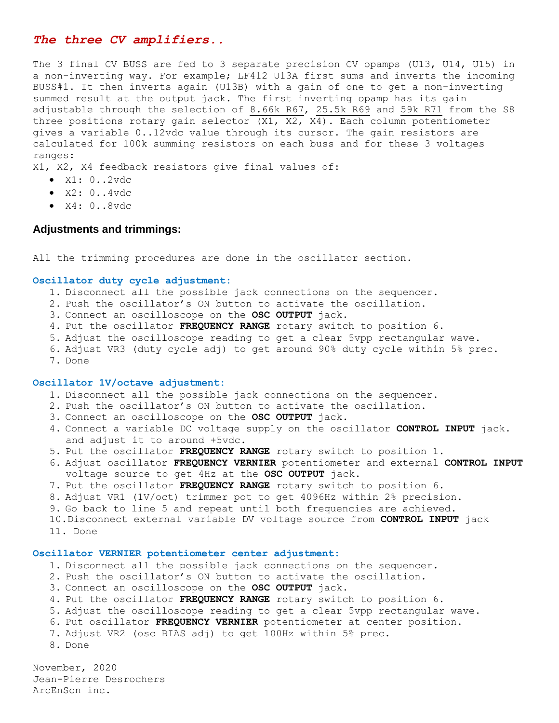## *The three CV amplifiers..*

The 3 final CV BUSS are fed to 3 separate precision CV opamps (U13, U14, U15) in a non-inverting way. For example; LF412 U13A first sums and inverts the incoming BUSS#1. It then inverts again (U13B) with a gain of one to get a non-inverting summed result at the output jack. The first inverting opamp has its gain adjustable through the selection of 8.66k R67, 25.5k R69 and 59k R71 from the S8 three positions rotary gain selector (X1, X2, X4). Each column potentiometer gives a variable 0..12vdc value through its cursor. The gain resistors are calculated for 100k summing resistors on each buss and for these 3 voltages ranges:

X1, X2, X4 feedback resistors give final values of:

- X1: 0..2vdc
- $\bullet$  X2:  $0..4$ vdc
- X4: 0..8vdc

#### **Adjustments and trimmings:**

All the trimming procedures are done in the oscillator section.

#### **Oscillator duty cycle adjustment:**

- 1. Disconnect all the possible jack connections on the sequencer.
- 2. Push the oscillator"s ON button to activate the oscillation.
- 3. Connect an oscilloscope on the **OSC OUTPUT** jack.
- 4. Put the oscillator **FREQUENCY RANGE** rotary switch to position 6.
- 5. Adjust the oscilloscope reading to get a clear 5vpp rectangular wave.
- 6. Adjust VR3 (duty cycle adj) to get around 90% duty cycle within 5% prec.
- 7. Done

#### **Oscillator 1V/octave adjustment:**

- 1. Disconnect all the possible jack connections on the sequencer.
- 2. Push the oscillator"s ON button to activate the oscillation.
- 3. Connect an oscilloscope on the **OSC OUTPUT** jack.
- 4. Connect a variable DC voltage supply on the oscillator **CONTROL INPUT** jack. and adjust it to around +5vdc.
- 5. Put the oscillator **FREQUENCY RANGE** rotary switch to position 1.
- 6. Adjust oscillator **FREQUENCY VERNIER** potentiometer and external **CONTROL INPUT** voltage source to get 4Hz at the **OSC OUTPUT** jack.
- 7. Put the oscillator **FREQUENCY RANGE** rotary switch to position 6.
- 8. Adjust VR1 (1V/oct) trimmer pot to get 4096Hz within 2% precision.
- 9. Go back to line 5 and repeat until both frequencies are achieved.
- 10.Disconnect external variable DV voltage source from **CONTROL INPUT** jack
- 11. Done

#### **Oscillator VERNIER potentiometer center adjustment:**

- 1. Disconnect all the possible jack connections on the sequencer.
- 2. Push the oscillator"s ON button to activate the oscillation.
- 3. Connect an oscilloscope on the **OSC OUTPUT** jack.
- 4. Put the oscillator **FREQUENCY RANGE** rotary switch to position 6.
- 5. Adjust the oscilloscope reading to get a clear 5vpp rectangular wave.
- 6. Put oscillator **FREQUENCY VERNIER** potentiometer at center position.
- 7. Adjust VR2 (osc BIAS adj) to get 100Hz within 5% prec.
- 8. Done

November, 2020 Jean-Pierre Desrochers ArcEnSon inc.